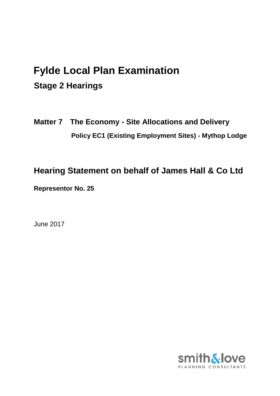# **Fylde Local Plan Examination Stage 2 Hearings**

**Matter 7 The Economy - Site Allocations and Delivery Policy EC1 (Existing Employment Sites) - Mythop Lodge**

**Hearing Statement on behalf of James Hall & Co Ltd**

**Representor No. 25**

June 2017

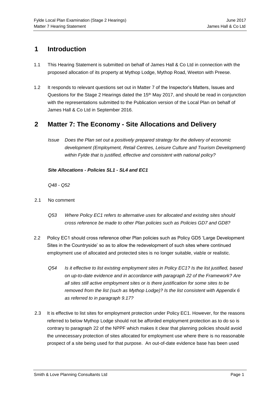## **1 Introduction**

- 1.1 This Hearing Statement is submitted on behalf of James Hall & Co Ltd in connection with the proposed allocation of its property at Mythop Lodge, Mythop Road, Weeton with Preese.
- 1.2 It responds to relevant questions set out in Matter 7 of the Inspector's Matters, Issues and Questions for the Stage 2 Hearings dated the 15<sup>th</sup> May 2017, and should be read in conjunction with the representations submitted to the Publication version of the Local Plan on behalf of James Hall & Co Ltd in September 2016.

### **2 Matter 7: The Economy - Site Allocations and Delivery**

*Issue Does the Plan set out a positively prepared strategy for the delivery of economic development (Employment, Retail Centres, Leisure Culture and Tourism Development) within Fylde that is justified, effective and consistent with national policy?* 

#### *Site Allocations - Policies SL1 - SL4 and EC1*

*Q48 - Q52*

- 2.1 No comment
	- *Q53 Where Policy EC1 refers to alternative uses for allocated and existing sites should cross reference be made to other Plan policies such as Policies GD7 and GD8?*
- 2.2 Policy EC1 should cross reference other Plan policies such as Policy GD5 'Large Development Sites in the Countryside' so as to allow the redevelopment of such sites where continued employment use of allocated and protected sites is no longer suitable, viable or realistic.
	- *Q54 Is it effective to list existing employment sites in Policy EC1? Is the list justified, based on up-to-date evidence and in accordance with paragraph 22 of the Framework? Are all sites still active employment sites or is there justification for some sites to be removed from the list (such as Mythop Lodge)? Is the list consistent with Appendix 6 as referred to in paragraph 9.17?*
- 2.3 It is effective to list sites for employment protection under Policy EC1. However, for the reasons referred to below Mythop Lodge should not be afforded employment protection as to do so is contrary to paragraph 22 of the NPPF which makes it clear that planning policies should avoid the unnecessary protection of sites allocated for employment use where there is no reasonable prospect of a site being used for that purpose. An out-of-date evidence base has been used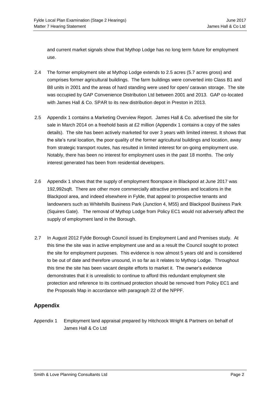and current market signals show that Mythop Lodge has no long term future for employment use.

- 2.4 The former employment site at Mythop Lodge extends to 2.5 acres (5.7 acres gross) and comprises former agricultural buildings. The farm buildings were converted into Class B1 and B8 units in 2001 and the areas of hard standing were used for open/ caravan storage. The site was occupied by GAP Convenience Distribution Ltd between 2001 and 2013. GAP co-located with James Hall & Co. SPAR to its new distribution depot in Preston in 2013.
- 2.5 Appendix 1 contains a Marketing Overview Report. James Hall & Co. advertised the site for sale in March 2014 on a freehold basis at £2 million (Appendix 1 contains a copy of the sales details). The site has been actively marketed for over 3 years with limited interest. It shows that the site's rural location, the poor quality of the former agricultural buildings and location, away from strategic transport routes, has resulted in limited interest for on-going employment use. Notably, there has been no interest for employment uses in the past 18 months. The only interest generated has been from residential developers.
- 2.6 Appendix 1 shows that the supply of employment floorspace in Blackpool at June 2017 was 192,992sqft. There are other more commercially attractive premises and locations in the Blackpool area, and indeed elsewhere in Fylde, that appeal to prospective tenants and landowners such as Whitehills Business Park (Junction 4, M55) and Blackpool Business Park (Squires Gate). The removal of Mythop Lodge from Policy EC1 would not adversely affect the supply of employment land in the Borough.
- 2.7 In August 2012 Fylde Borough Council issued its Employment Land and Premises study. At this time the site was in active employment use and as a result the Council sought to protect the site for employment purposes. This evidence is now almost 5 years old and is considered to be out of date and therefore unsound, in so far as it relates to Mythop Lodge. Throughout this time the site has been vacant despite efforts to market it. The owner's evidence demonstrates that it is unrealistic to continue to afford this redundant employment site protection and reference to its continued protection should be removed from Policy EC1 and the Proposals Map in accordance with paragraph 22 of the NPPF.

#### **Appendix**

Appendix 1 Employment land appraisal prepared by Hitchcock Wright & Partners on behalf of James Hall & Co Ltd